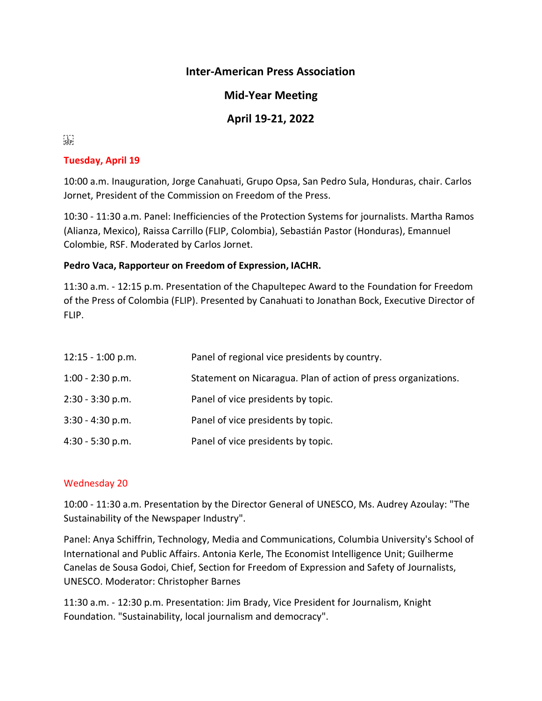# **Inter-American Press Association**

# **Mid-Year Meeting**

# **April 19-21, 2022**

# $\sum_{i\in \mathsf{FP}^1}$

#### **Tuesday, April 19**

10:00 a.m. Inauguration, Jorge Canahuati, Grupo Opsa, San Pedro Sula, Honduras, chair. Carlos Jornet, President of the Commission on Freedom of the Press.

10:30 - 11:30 a.m. Panel: Inefficiencies of the Protection Systems for journalists. Martha Ramos (Alianza, Mexico), Raissa Carrillo (FLIP, Colombia), Sebastián Pastor (Honduras), Emannuel Colombie, RSF. Moderated by Carlos Jornet.

#### **Pedro Vaca, Rapporteur on Freedom of Expression, IACHR.**

11:30 a.m. - 12:15 p.m. Presentation of the Chapultepec Award to the Foundation for Freedom of the Press of Colombia (FLIP). Presented by Canahuati to Jonathan Bock, Executive Director of FLIP.

| $12:15 - 1:00$ p.m. | Panel of regional vice presidents by country.                  |
|---------------------|----------------------------------------------------------------|
| $1:00 - 2:30$ p.m.  | Statement on Nicaragua. Plan of action of press organizations. |
| 2:30 - 3:30 p.m.    | Panel of vice presidents by topic.                             |
| $3:30 - 4:30 p.m.$  | Panel of vice presidents by topic.                             |
| 4:30 - 5:30 p.m.    | Panel of vice presidents by topic.                             |

#### Wednesday 20

10:00 - 11:30 a.m. Presentation by the Director General of UNESCO, Ms. Audrey Azoulay: "The Sustainability of the Newspaper Industry".

Panel: Anya Schiffrin, Technology, Media and Communications, Columbia University's School of International and Public Affairs. Antonia Kerle, The Economist Intelligence Unit; Guilherme Canelas de Sousa Godoi, Chief, Section for Freedom of Expression and Safety of Journalists, UNESCO. Moderator: Christopher Barnes

11:30 a.m. - 12:30 p.m. Presentation: Jim Brady, Vice President for Journalism, Knight Foundation. "Sustainability, local journalism and democracy".